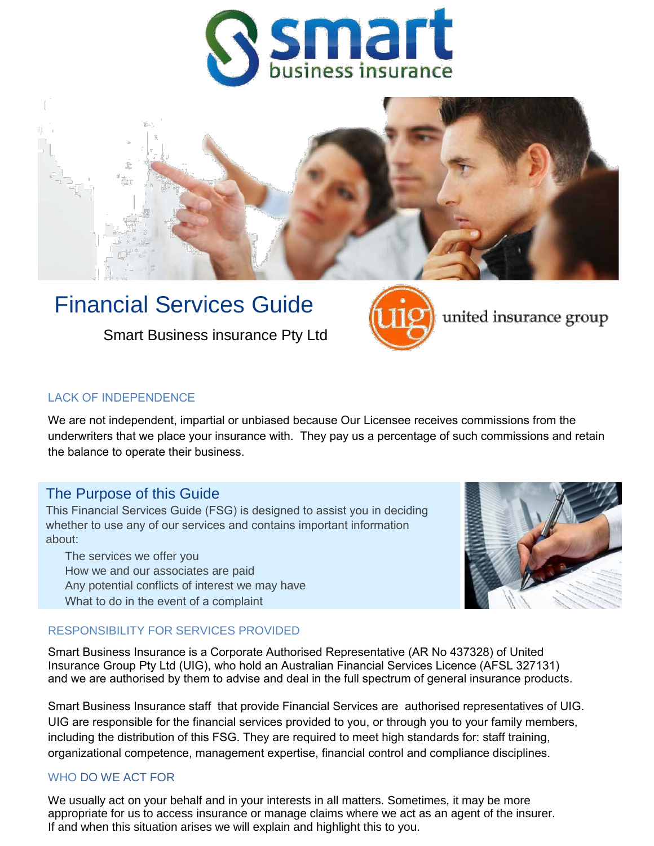



# Financial Services Guide

Smart Business insurance Pty Ltd



united insurance group

## LACK OF INDEPENDENCE

We are not independent, impartial or unbiased because Our Licensee receives commissions from the underwriters that we place your insurance with. They pay us a percentage of such commissions and retain the balance to operate their business.

# The Purpose of this Guide

This Financial Services Guide (FSG) is designed to assist you in deciding whether to use any of our services and contains important information about:

The services we offer you How we and our associates are paid Any potential conflicts of interest we may have What to do in the event of a complaint



## RESPONSIBILITY FOR SERVICES PROVIDED

Smart Business Insurance is a Corporate Authorised Representative (AR No 437328) of United Insurance Group Pty Ltd (UIG), who hold an Australian Financial Services Licence (AFSL 327131) and we are authorised by them to advise and deal in the full spectrum of general insurance products.

Smart Business Insurance staff that provide Financial Services are authorised representatives of UIG. UIG are responsible for the financial services provided to you, or through you to your family members, including the distribution of this FSG. They are required to meet high standards for: staff training, organizational competence, management expertise, financial control and compliance disciplines.

# WHO DO WE ACT FOR

We usually act on your behalf and in your interests in all matters. Sometimes, it may be more appropriate for us to access insurance or manage claims where we act as an agent of the insurer. If and when this situation arises we will explain and highlight this to you.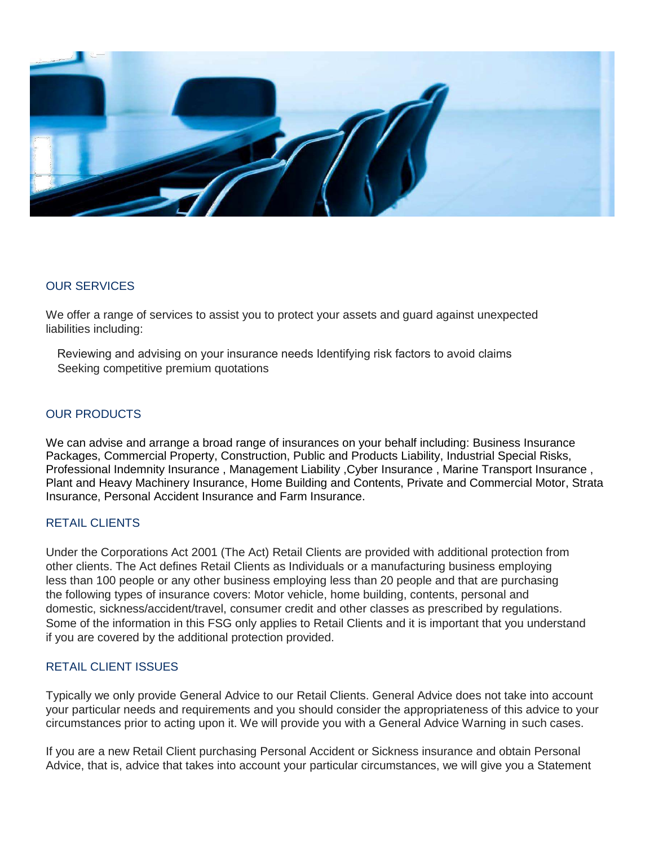

# OUR SERVICES

We offer a range of services to assist you to protect your assets and guard against unexpected liabilities including:

Reviewing and advising on your insurance needs Identifying risk factors to avoid claims Seeking competitive premium quotations

# OUR PRODUCTS

We can advise and arrange a broad range of insurances on your behalf including: Business Insurance Packages, Commercial Property, Construction, Public and Products Liability, Industrial Special Risks, Professional Indemnity Insurance, Management Liability, Cyber Insurance, Marine Transport Insurance, Plant and Heavy Machinery Insurance, Home Building and Contents, Private and Commercial Motor, Strata Insurance, Personal Accident Insurance and Farm Insurance.

# RETAIL CLIENTS

Under the Corporations Act 2001 (The Act) Retail Clients are provided with additional protection from other clients. The Act defines Retail Clients as Individuals or a manufacturing business employing less than 100 people or any other business employing less than 20 people and that are purchasing the following types of insurance covers: Motor vehicle, home building, contents, personal and domestic, sickness/accident/travel, consumer credit and other classes as prescribed by regulations. Some of the information in this FSG only applies to Retail Clients and it is important that you understand if you are covered by the additional protection provided.

# RETAIL CLIENT ISSUES

Typically we only provide General Advice to our Retail Clients. General Advice does not take into account your particular needs and requirements and you should consider the appropriateness of this advice to your circumstances prior to acting upon it. We will provide you with a General Advice Warning in such cases.

If you are a new Retail Client purchasing Personal Accident or Sickness insurance and obtain Personal Advice, that is, advice that takes into account your particular circumstances, we will give you a Statement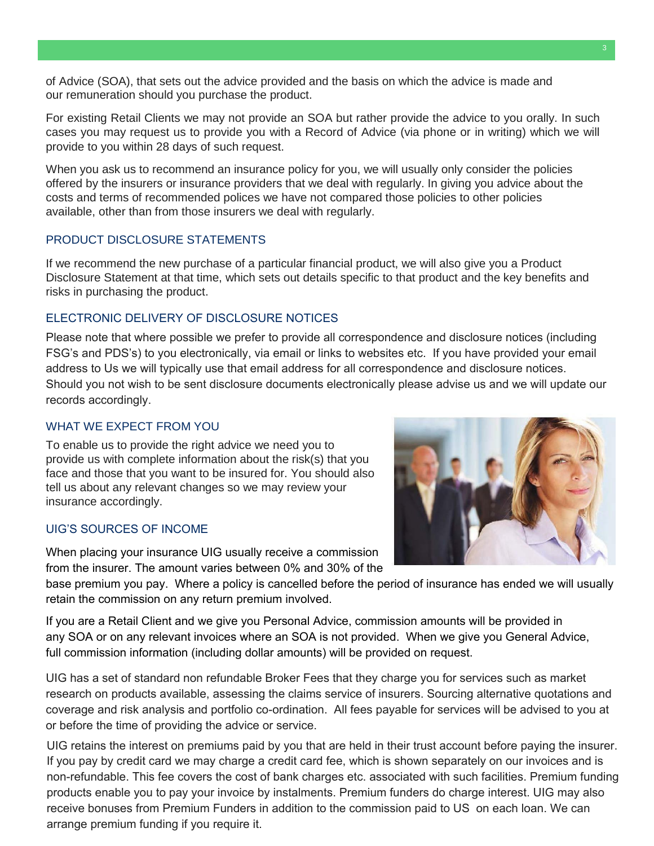of Advice (SOA), that sets out the advice provided and the basis on which the advice is made and our remuneration should you purchase the product.

For existing Retail Clients we may not provide an SOA but rather provide the advice to you orally. In such cases you may request us to provide you with a Record of Advice (via phone or in writing) which we will provide to you within 28 days of such request.

When you ask us to recommend an insurance policy for you, we will usually only consider the policies offered by the insurers or insurance providers that we deal with regularly. In giving you advice about the costs and terms of recommended polices we have not compared those policies to other policies available, other than from those insurers we deal with regularly.

### PRODUCT DISCLOSURE STATEMENTS

If we recommend the new purchase of a particular financial product, we will also give you a Product Disclosure Statement at that time, which sets out details specific to that product and the key benefits and risks in purchasing the product.

# ELECTRONIC DELIVERY OF DISCLOSURE NOTICES

Please note that where possible we prefer to provide all correspondence and disclosure notices (including FSG's and PDS's) to you electronically, via email or links to websites etc. If you have provided your email address to Us we will typically use that email address for all correspondence and disclosure notices. Should you not wish to be sent disclosure documents electronically please advise us and we will update our records accordingly.

#### WHAT WE EXPECT FROM YOU

To enable us to provide the right advice we need you to provide us with complete information about the risk(s) that you face and those that you want to be insured for. You should also tell us about any relevant changes so we may review your insurance accordingly.

## UIG'S SOURCES OF INCOME

When placing your insurance UIG usually receive a commission from the insurer. The amount varies between 0% and 30% of the

base premium you pay. Where a policy is cancelled before the period of insurance has ended we will usually retain the commission on any return premium involved.

If you are a Retail Client and we give you Personal Advice, commission amounts will be provided in any SOA or on any relevant invoices where an SOA is not provided. When we give you General Advice, full commission information (including dollar amounts) will be provided on request.

UIG has a set of standard non refundable Broker Fees that they charge you for services such as market research on products available, assessing the claims service of insurers. Sourcing alternative quotations and coverage and risk analysis and portfolio co-ordination. All fees payable for services will be advised to you at or before the time of providing the advice or service.

UIG retains the interest on premiums paid by you that are held in their trust account before paying the insurer. If you pay by credit card we may charge a credit card fee, which is shown separately on our invoices and is non-refundable. This fee covers the cost of bank charges etc. associated with such facilities. Premium funding products enable you to pay your invoice by instalments. Premium funders do charge interest. UIG may also receive bonuses from Premium Funders in addition to the commission paid to US on each loan. We can arrange premium funding if you require it.

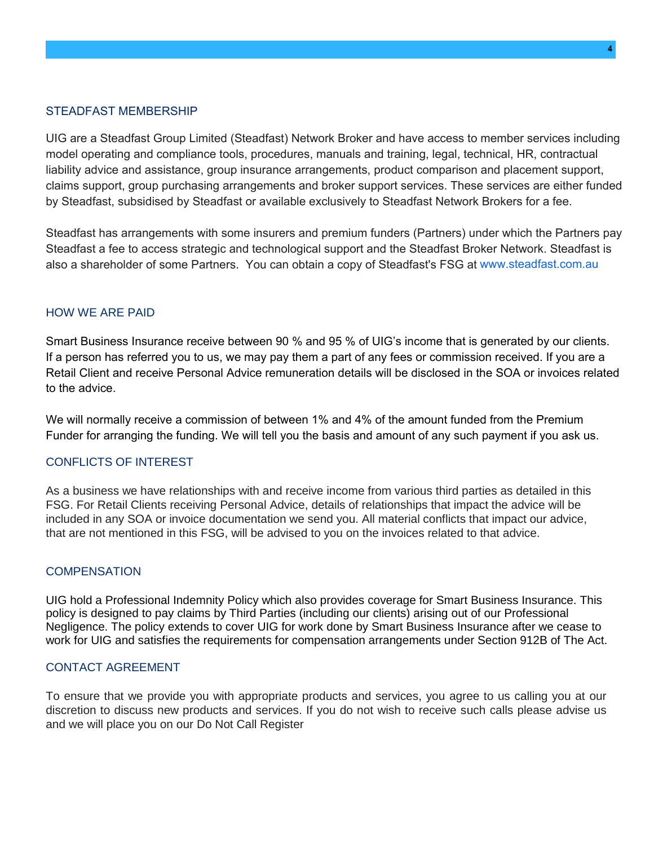### STEADFAST MEMBERSHIP

UIG are a Steadfast Group Limited (Steadfast) Network Broker and have access to member services including model operating and compliance tools, procedures, manuals and training, legal, technical, HR, contractual liability advice and assistance, group insurance arrangements, product comparison and placement support, claims support, group purchasing arrangements and broker support services. These services are either funded by Steadfast, subsidised by Steadfast or available exclusively to Steadfast Network Brokers for a fee.

Steadfast has arrangements with some insurers and premium funders (Partners) under which the Partners pay Steadfast a fee to access strategic and technological support and the Steadfast Broker Network. Steadfast is also a shareholder of some Partners. You can obtain a copy of Steadfast's FSG at www.steadfast.com.au

### HOW WE ARE PAID

Smart Business Insurance receive between 90 % and 95 % of UIG's income that is generated by our clients. If a person has referred you to us, we may pay them a part of any fees or commission received. If you are a Retail Client and receive Personal Advice remuneration details will be disclosed in the SOA or invoices related to the advice.

We will normally receive a commission of between 1% and 4% of the amount funded from the Premium Funder for arranging the funding. We will tell you the basis and amount of any such payment if you ask us.

#### CONFLICTS OF INTEREST

As a business we have relationships with and receive income from various third parties as detailed in this FSG. For Retail Clients receiving Personal Advice, details of relationships that impact the advice will be included in any SOA or invoice documentation we send you. All material conflicts that impact our advice, that are not mentioned in this FSG, will be advised to you on the invoices related to that advice.

#### **COMPENSATION**

UIG hold a Professional Indemnity Policy which also provides coverage for Smart Business Insurance. This policy is designed to pay claims by Third Parties (including our clients) arising out of our Professional Negligence. The policy extends to cover UIG for work done by Smart Business Insurance after we cease to work for UIG and satisfies the requirements for compensation arrangements under Section 912B of The Act.

#### CONTACT AGREEMENT

To ensure that we provide you with appropriate products and services, you agree to us calling you at our discretion to discuss new products and services. If you do not wish to receive such calls please advise us and we will place you on our Do Not Call Register